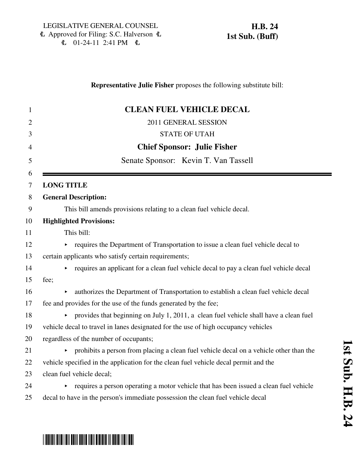# **Representative Julie Fisher** proposes the following substitute bill: 1 **CLEAN FUEL VEHICLE DECAL** 2011 GENERAL SESSION 3 STATE OF UTAH 4 **Chief Sponsor: Julie Fisher** 5 Senate Sponsor: Kevin T. Van Tassell 6 7 **LONG TITLE** 8 **General Description:** 9 This bill amends provisions relating to a clean fuel vehicle decal. 10 **Highlighted Provisions:** 11 This bill:  $12$   $\rightarrow$  requires the Department of Transportation to issue a clean fuel vehicle decal to 13 certain applicants who satisfy certain requirements;  $14$  equires an applicant for a clean fuel vehicle decal to pay a clean fuel vehicle decal 15 fee; 16 authorizes the Department of Transportation to establish a clean fuel vehicle decal 17 fee and provides for the use of the funds generated by the fee; 18 < provides that beginning on July 1, 2011, a clean fuel vehicle shall have a clean fuel 19 vehicle decal to travel in lanes designated for the use of high occupancy vehicles 20 regardless of the number of occupants;  $\rightarrow$  prohibits a person from placing a clean fuel vehicle decal on a vehicle other than the 22 vehicle specified in the application for the clean fuel vehicle decal permit and the 23 clean fuel vehicle decal;  $24$  equires a person operating a motor vehicle that has been issued a clean fuel vehicle 25 decal to have in the person's immediate possession the clean fuel vehicle decal

# \*HB0024S01\*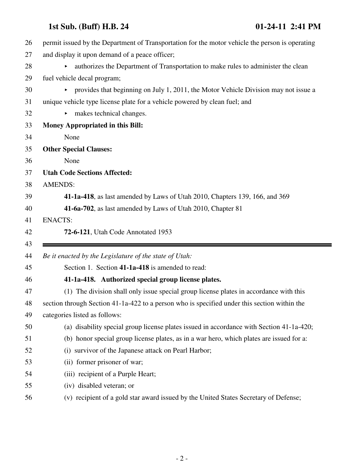| 26 | permit issued by the Department of Transportation for the motor vehicle the person is operating            |
|----|------------------------------------------------------------------------------------------------------------|
| 27 | and display it upon demand of a peace officer;                                                             |
| 28 | authorizes the Department of Transportation to make rules to administer the clean<br>$\blacktriangleright$ |
| 29 | fuel vehicle decal program;                                                                                |
| 30 | provides that beginning on July 1, 2011, the Motor Vehicle Division may not issue a<br>Þ.                  |
| 31 | unique vehicle type license plate for a vehicle powered by clean fuel; and                                 |
| 32 | makes technical changes.<br>▶                                                                              |
| 33 | Money Appropriated in this Bill:                                                                           |
| 34 | None                                                                                                       |
| 35 | <b>Other Special Clauses:</b>                                                                              |
| 36 | None                                                                                                       |
| 37 | <b>Utah Code Sections Affected:</b>                                                                        |
| 38 | <b>AMENDS:</b>                                                                                             |
| 39 | 41-1a-418, as last amended by Laws of Utah 2010, Chapters 139, 166, and 369                                |
| 40 | 41-6a-702, as last amended by Laws of Utah 2010, Chapter 81                                                |
|    |                                                                                                            |
| 41 | <b>ENACTS:</b>                                                                                             |
| 42 | 72-6-121, Utah Code Annotated 1953                                                                         |
| 43 |                                                                                                            |
| 44 | Be it enacted by the Legislature of the state of Utah:                                                     |
| 45 | Section 1. Section 41-1a-418 is amended to read:                                                           |
| 46 | 41-1a-418. Authorized special group license plates.                                                        |
| 47 | (1) The division shall only issue special group license plates in accordance with this                     |
| 48 | section through Section 41-1a-422 to a person who is specified under this section within the               |
| 49 | categories listed as follows:                                                                              |
| 50 | (a) disability special group license plates issued in accordance with Section 41-1a-420;                   |
| 51 | (b) honor special group license plates, as in a war hero, which plates are issued for a:                   |
| 52 | (i) survivor of the Japanese attack on Pearl Harbor;                                                       |
| 53 | (ii) former prisoner of war;                                                                               |
| 54 | (iii) recipient of a Purple Heart;                                                                         |
| 55 | (iv) disabled veteran; or                                                                                  |
| 56 | (v) recipient of a gold star award issued by the United States Secretary of Defense;                       |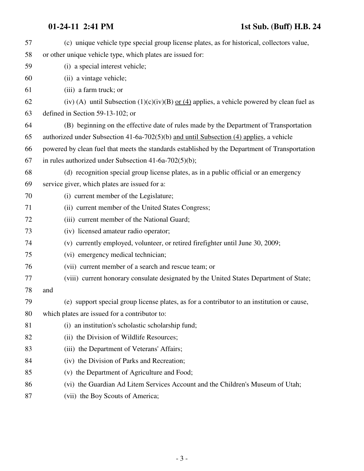| 57 | (c) unique vehicle type special group license plates, as for historical, collectors value,     |
|----|------------------------------------------------------------------------------------------------|
| 58 | or other unique vehicle type, which plates are issued for:                                     |
| 59 | (i) a special interest vehicle;                                                                |
| 60 | (ii) a vintage vehicle;                                                                        |
| 61 | (iii) a farm truck; or                                                                         |
| 62 | (iv) (A) until Subsection (1)(c)(iv)(B) or (4) applies, a vehicle powered by clean fuel as     |
| 63 | defined in Section 59-13-102; or                                                               |
| 64 | (B) beginning on the effective date of rules made by the Department of Transportation          |
| 65 | authorized under Subsection $41-6a-702(5)(b)$ and until Subsection (4) applies, a vehicle      |
| 66 | powered by clean fuel that meets the standards established by the Department of Transportation |
| 67 | in rules authorized under Subsection $41-6a-702(5)(b)$ ;                                       |
| 68 | (d) recognition special group license plates, as in a public official or an emergency          |
| 69 | service giver, which plates are issued for a:                                                  |
| 70 | (i) current member of the Legislature;                                                         |
| 71 | (ii) current member of the United States Congress;                                             |
| 72 | (iii) current member of the National Guard;                                                    |
| 73 | (iv) licensed amateur radio operator;                                                          |
| 74 | (v) currently employed, volunteer, or retired firefighter until June 30, 2009;                 |
| 75 | (vi) emergency medical technician;                                                             |
| 76 | (vii) current member of a search and rescue team; or                                           |
| 77 | (viii) current honorary consulate designated by the United States Department of State;         |
| 78 | and                                                                                            |
| 79 | (e) support special group license plates, as for a contributor to an institution or cause,     |
| 80 | which plates are issued for a contributor to:                                                  |
| 81 | (i) an institution's scholastic scholarship fund;                                              |
| 82 | (ii) the Division of Wildlife Resources;                                                       |
| 83 | (iii) the Department of Veterans' Affairs;                                                     |
| 84 | (iv) the Division of Parks and Recreation;                                                     |
| 85 | (v) the Department of Agriculture and Food;                                                    |
| 86 | (vi) the Guardian Ad Litem Services Account and the Children's Museum of Utah;                 |
| 87 | (vii) the Boy Scouts of America;                                                               |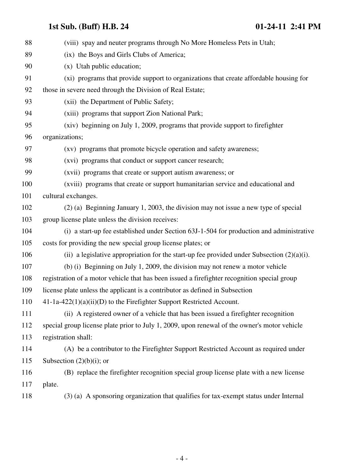| 88  | (viii) spay and neuter programs through No More Homeless Pets in Utah;                        |
|-----|-----------------------------------------------------------------------------------------------|
| 89  | (ix) the Boys and Girls Clubs of America;                                                     |
| 90  | (x) Utah public education;                                                                    |
| 91  | (xi) programs that provide support to organizations that create affordable housing for        |
| 92  | those in severe need through the Division of Real Estate;                                     |
| 93  | (xii) the Department of Public Safety;                                                        |
| 94  | (xiii) programs that support Zion National Park;                                              |
| 95  | (xiv) beginning on July 1, 2009, programs that provide support to firefighter                 |
| 96  | organizations;                                                                                |
| 97  | (xv) programs that promote bicycle operation and safety awareness;                            |
| 98  | (xvi) programs that conduct or support cancer research;                                       |
| 99  | (xvii) programs that create or support autism awareness; or                                   |
| 100 | (xviii) programs that create or support humanitarian service and educational and              |
| 101 | cultural exchanges.                                                                           |
| 102 | (2) (a) Beginning January 1, 2003, the division may not issue a new type of special           |
| 103 | group license plate unless the division receives:                                             |
| 104 | (i) a start-up fee established under Section 63J-1-504 for production and administrative      |
| 105 | costs for providing the new special group license plates; or                                  |
| 106 | (ii) a legislative appropriation for the start-up fee provided under Subsection $(2)(a)(i)$ . |
| 107 | (b) (i) Beginning on July 1, 2009, the division may not renew a motor vehicle                 |
| 108 | registration of a motor vehicle that has been issued a firefighter recognition special group  |
| 109 | license plate unless the applicant is a contributor as defined in Subsection                  |
| 110 | 41-1a-422(1)(a)(ii)(D) to the Firefighter Support Restricted Account.                         |
| 111 | (ii) A registered owner of a vehicle that has been issued a firefighter recognition           |
| 112 | special group license plate prior to July 1, 2009, upon renewal of the owner's motor vehicle  |
| 113 | registration shall:                                                                           |
| 114 | (A) be a contributor to the Firefighter Support Restricted Account as required under          |
| 115 | Subsection $(2)(b)(i)$ ; or                                                                   |
| 116 | (B) replace the firefighter recognition special group license plate with a new license        |
| 117 | plate.                                                                                        |
| 118 | (3) (a) A sponsoring organization that qualifies for tax-exempt status under Internal         |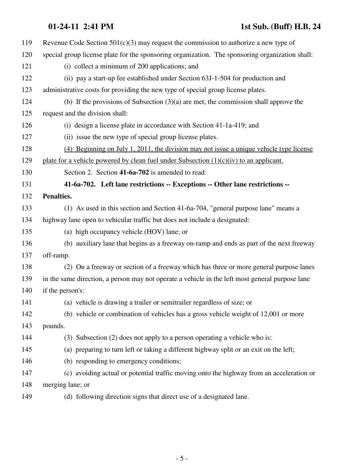### **01-24-11 2:41 PM 1st Sub. (Buff) H.B. 24**

| 119 | Revenue Code Section $501(c)(3)$ may request the commission to authorize a new type of          |
|-----|-------------------------------------------------------------------------------------------------|
| 120 | special group license plate for the sponsoring organization. The sponsoring organization shall: |
| 121 | (i) collect a minimum of 200 applications; and                                                  |
| 122 | (ii) pay a start-up fee established under Section 63J-1-504 for production and                  |
| 123 | administrative costs for providing the new type of special group license plates.                |
| 124 | (b) If the provisions of Subsection $(3)(a)$ are met, the commission shall approve the          |
| 125 | request and the division shall:                                                                 |
| 126 | (i) design a license plate in accordance with Section 41-1a-419; and                            |
| 127 | (ii) issue the new type of special group license plates.                                        |
| 128 | $(4)$ Beginning on July 1, 2011, the division may not issue a unique vehicle type license       |
| 129 | plate for a vehicle powered by clean fuel under Subsection $(1)(c)(iv)$ to an applicant.        |
| 130 | Section 2. Section 41-6a-702 is amended to read:                                                |
| 131 | 41-6a-702. Left lane restrictions -- Exceptions -- Other lane restrictions --                   |
| 132 | Penalties.                                                                                      |
| 133 | (1) As used in this section and Section 41-6a-704, "general purpose lane" means a               |
| 134 | highway lane open to vehicular traffic but does not include a designated:                       |
| 135 | (a) high occupancy vehicle (HOV) lane; or                                                       |
| 136 | (b) auxiliary lane that begins as a freeway on-ramp and ends as part of the next freeway        |
| 137 | off-ramp.                                                                                       |
| 138 | (2) On a freeway or section of a freeway which has three or more general purpose lanes          |
| 139 | in the same direction, a person may not operate a vehicle in the left most general purpose lane |
| 140 | if the person's:                                                                                |
| 141 | (a) vehicle is drawing a trailer or semitrailer regardless of size; or                          |
| 142 | (b) vehicle or combination of vehicles has a gross vehicle weight of 12,001 or more             |
| 143 | pounds.                                                                                         |
| 144 | (3) Subsection (2) does not apply to a person operating a vehicle who is:                       |
| 145 | (a) preparing to turn left or taking a different highway split or an exit on the left;          |
| 146 | (b) responding to emergency conditions;                                                         |
| 147 | (c) avoiding actual or potential traffic moving onto the highway from an acceleration or        |
| 148 | merging lane; or                                                                                |
| 149 | (d) following direction signs that direct use of a designated lane.                             |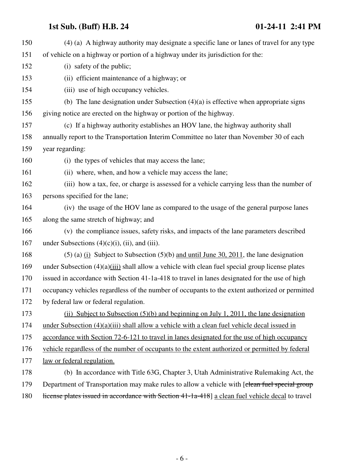| 150 | (4) (a) A highway authority may designate a specific lane or lanes of travel for any type         |
|-----|---------------------------------------------------------------------------------------------------|
| 151 | of vehicle on a highway or portion of a highway under its jurisdiction for the:                   |
| 152 | (i) safety of the public;                                                                         |
| 153 | (ii) efficient maintenance of a highway; or                                                       |
| 154 | (iii) use of high occupancy vehicles.                                                             |
| 155 | (b) The lane designation under Subsection $(4)(a)$ is effective when appropriate signs            |
| 156 | giving notice are erected on the highway or portion of the highway.                               |
| 157 | (c) If a highway authority establishes an HOV lane, the highway authority shall                   |
| 158 | annually report to the Transportation Interim Committee no later than November 30 of each         |
| 159 | year regarding:                                                                                   |
| 160 | (i) the types of vehicles that may access the lane;                                               |
| 161 | (ii) where, when, and how a vehicle may access the lane;                                          |
| 162 | (iii) how a tax, fee, or charge is assessed for a vehicle carrying less than the number of        |
| 163 | persons specified for the lane;                                                                   |
| 164 | (iv) the usage of the HOV lane as compared to the usage of the general purpose lanes              |
| 165 | along the same stretch of highway; and                                                            |
| 166 | (v) the compliance issues, safety risks, and impacts of the lane parameters described             |
| 167 | under Subsections $(4)(c)(i)$ , (ii), and (iii).                                                  |
| 168 | $(5)$ (a) $(i)$ Subject to Subsection (5)(b) and until June 30, 2011, the lane designation        |
| 169 | under Subsection $(4)(a)(iii)$ shall allow a vehicle with clean fuel special group license plates |
| 170 | issued in accordance with Section 41-1a-418 to travel in lanes designated for the use of high     |
| 171 | occupancy vehicles regardless of the number of occupants to the extent authorized or permitted    |
| 172 | by federal law or federal regulation.                                                             |
| 173 | (ii) Subject to Subsection $(5)(b)$ and beginning on July 1, 2011, the lane designation           |
| 174 | under Subsection $(4)(a)(iii)$ shall allow a vehicle with a clean fuel vehicle decal issued in    |
| 175 | accordance with Section 72-6-121 to travel in lanes designated for the use of high occupancy      |
| 176 | vehicle regardless of the number of occupants to the extent authorized or permitted by federal    |
| 177 | law or federal regulation.                                                                        |
| 178 | (b) In accordance with Title 63G, Chapter 3, Utah Administrative Rulemaking Act, the              |
| 179 | Department of Transportation may make rules to allow a vehicle with [clean fuel special group     |
| 180 | license plates issued in accordance with Section 41-1a-418] a clean fuel vehicle decal to travel  |
|     |                                                                                                   |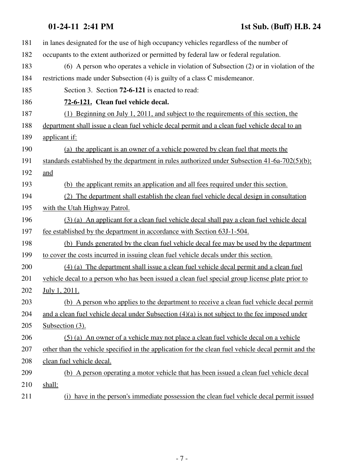## **01-24-11 2:41 PM 1st Sub. (Buff) H.B. 24**

| 181 | in lanes designated for the use of high occupancy vehicles regardless of the number of              |
|-----|-----------------------------------------------------------------------------------------------------|
| 182 | occupants to the extent authorized or permitted by federal law or federal regulation.               |
| 183 | $(6)$ A person who operates a vehicle in violation of Subsection $(2)$ or in violation of the       |
| 184 | restrictions made under Subsection (4) is guilty of a class C misdemeanor.                          |
| 185 | Section 3. Section 72-6-121 is enacted to read:                                                     |
| 186 | 72-6-121. Clean fuel vehicle decal.                                                                 |
| 187 | (1) Beginning on July 1, 2011, and subject to the requirements of this section, the                 |
| 188 | department shall issue a clean fuel vehicle decal permit and a clean fuel vehicle decal to an       |
| 189 | applicant if:                                                                                       |
| 190 | (a) the applicant is an owner of a vehicle powered by clean fuel that meets the                     |
| 191 | standards established by the department in rules authorized under Subsection $41-6a-702(5)(b)$ ;    |
| 192 | and                                                                                                 |
| 193 | (b) the applicant remits an application and all fees required under this section.                   |
| 194 | (2) The department shall establish the clean fuel vehicle decal design in consultation              |
| 195 | with the Utah Highway Patrol.                                                                       |
| 196 | (3) (a) An applicant for a clean fuel vehicle decal shall pay a clean fuel vehicle decal            |
| 197 | fee established by the department in accordance with Section 63J-1-504.                             |
| 198 | (b) Funds generated by the clean fuel vehicle decal fee may be used by the department               |
| 199 | to cover the costs incurred in issuing clean fuel vehicle decals under this section.                |
| 200 | (4) (a) The department shall issue a clean fuel vehicle decal permit and a clean fuel               |
| 201 | vehicle decal to a person who has been issued a clean fuel special group license plate prior to     |
| 202 | July 1, 2011.                                                                                       |
| 203 | (b) A person who applies to the department to receive a clean fuel vehicle decal permit             |
| 204 | and a clean fuel vehicle decal under Subsection $(4)(a)$ is not subject to the fee imposed under    |
| 205 | Subsection $(3)$ .                                                                                  |
| 206 | (5) (a) An owner of a vehicle may not place a clean fuel vehicle decal on a vehicle                 |
| 207 | other than the vehicle specified in the application for the clean fuel vehicle decal permit and the |
| 208 | clean fuel vehicle decal.                                                                           |
| 209 | (b) A person operating a motor vehicle that has been issued a clean fuel vehicle decal              |
| 210 | shall:                                                                                              |
| 211 | (i) have in the person's immediate possession the clean fuel vehicle decal permit issued            |